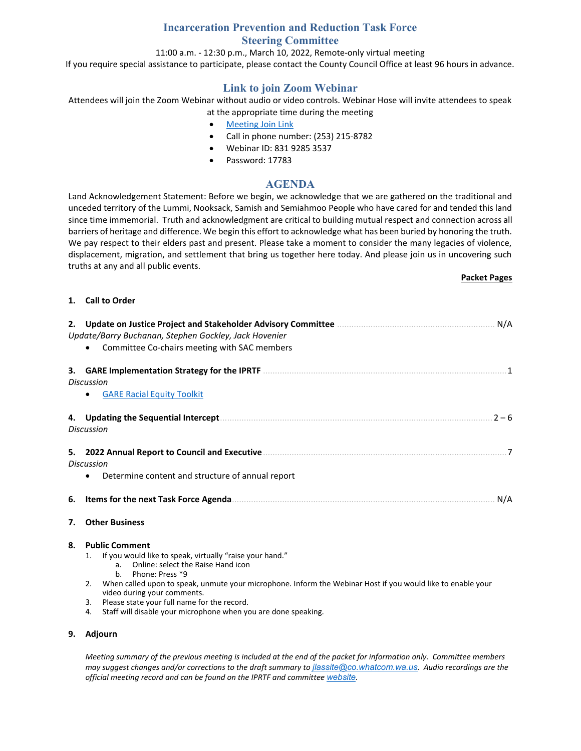## **Incarceration Prevention and Reduction Task Force Steering Committee**

11:00 a.m. - 12:30 p.m., March 10, 2022, Remote-only virtual meeting

If you require special assistance to participate, please contact the County Council Office at least 96 hours in advance.

# **Link to join Zoom Webinar**

Attendees will join the Zoom Webinar without audio or video controls. Webinar Hose will invite attendees to speak at the appropriate time during the meeting

- [Meeting Join Link](https://us06web.zoom.us/j/83192853537?pwd=ZjI1R3hsWTA4UmFMR1pqV2JHM1plQT09)
- Call in phone number: (253) 215-8782
- Webinar ID: 831 9285 3537
- Password: 17783

### **AGENDA**

Land Acknowledgement Statement: Before we begin, we acknowledge that we are gathered on the traditional and unceded territory of the Lummi, Nooksack, Samish and Semiahmoo People who have cared for and tended this land since time immemorial. Truth and acknowledgment are critical to building mutual respect and connection across all barriers of heritage and difference. We begin this effort to acknowledge what has been buried by honoring the truth. We pay respect to their elders past and present. Please take a moment to consider the many legacies of violence, displacement, migration, and settlement that bring us together here today. And please join us in uncovering such truths at any and all public events.

#### **Packet Pages**

#### **1. Call to Order**

|    | Update/Barry Buchanan, Stephen Gockley, Jack Hovenier<br>Committee Co-chairs meeting with SAC members                                                                                                                                                                                                                                                                                                                                                     | N/A     |  |  |  |  |
|----|-----------------------------------------------------------------------------------------------------------------------------------------------------------------------------------------------------------------------------------------------------------------------------------------------------------------------------------------------------------------------------------------------------------------------------------------------------------|---------|--|--|--|--|
|    | <b>Discussion</b><br><b>GARE Racial Equity Toolkit</b>                                                                                                                                                                                                                                                                                                                                                                                                    |         |  |  |  |  |
|    | <b>Discussion</b>                                                                                                                                                                                                                                                                                                                                                                                                                                         | $2 - 6$ |  |  |  |  |
|    | 5. 2022 Annual Report to Council and Executive <b>Common Construction Construction</b> 7<br><b>Discussion</b><br>Determine content and structure of annual report<br>$\bullet$                                                                                                                                                                                                                                                                            |         |  |  |  |  |
| 6. | N/A                                                                                                                                                                                                                                                                                                                                                                                                                                                       |         |  |  |  |  |
| 7. | <b>Other Business</b>                                                                                                                                                                                                                                                                                                                                                                                                                                     |         |  |  |  |  |
| 8. | <b>Public Comment</b><br>If you would like to speak, virtually "raise your hand."<br>1.<br>Online: select the Raise Hand icon<br>a <sub>1</sub><br>Phone: Press *9<br>h.<br>When called upon to speak, unmute your microphone. Inform the Webinar Host if you would like to enable your<br>2.<br>video during your comments.<br>Please state your full name for the record.<br>3.<br>Staff will disable your microphone when you are done speaking.<br>4. |         |  |  |  |  |

#### **9. Adjourn**

*Meeting summary of the previous meeting is included at the end of the packet for information only. Committee members may suggest changes and/or corrections to the draft summary to [jlassite@co.whatcom.wa.us](mailto:jlassite@co.whatcom.wa.us). Audio recordings are the official meeting record and can be found on the IPRTF and committee [website](http://www.co.whatcom.wa.us/2052/Incarceration-Prevention-and-Reduction-T).*